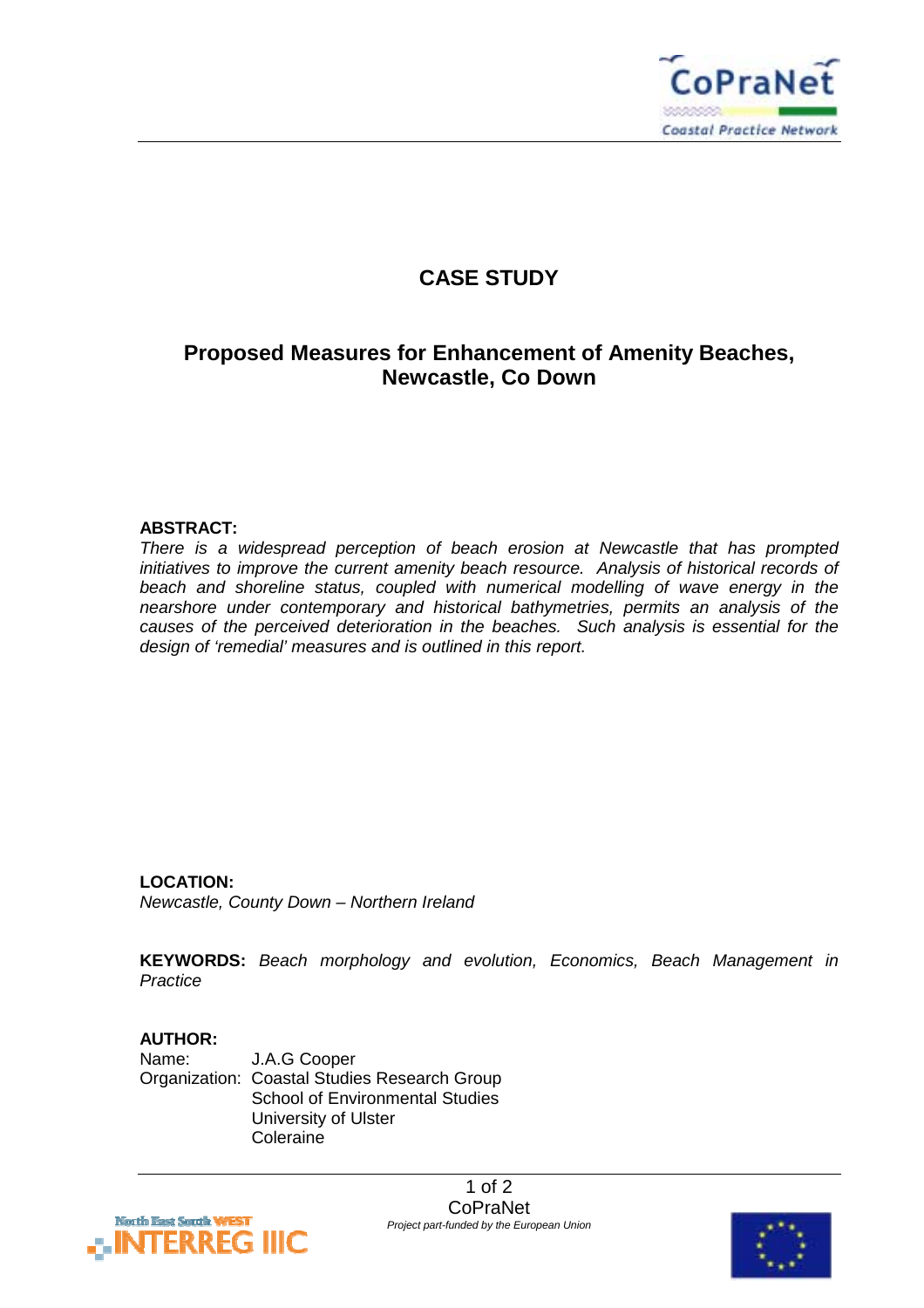

## **CASE STUDY**

## **Proposed Measures for Enhancement of Amenity Beaches, Newcastle, Co Down**

#### **ABSTRACT:**

*There is a widespread perception of beach erosion at Newcastle that has prompted initiatives to improve the current amenity beach resource. Analysis of historical records of beach and shoreline status, coupled with numerical modelling of wave energy in the nearshore under contemporary and historical bathymetries, permits an analysis of the causes of the perceived deterioration in the beaches. Such analysis is essential for the design of 'remedial' measures and is outlined in this report.* 

### **LOCATION:**

*Newcastle, County Down – Northern Ireland* 

**KEYWORDS:** *Beach morphology and evolution, Economics, Beach Management in Practice*

#### **AUTHOR:**

Name: J.A.G Cooper Organization: Coastal Studies Research Group School of Environmental Studies University of Ulster Coleraine



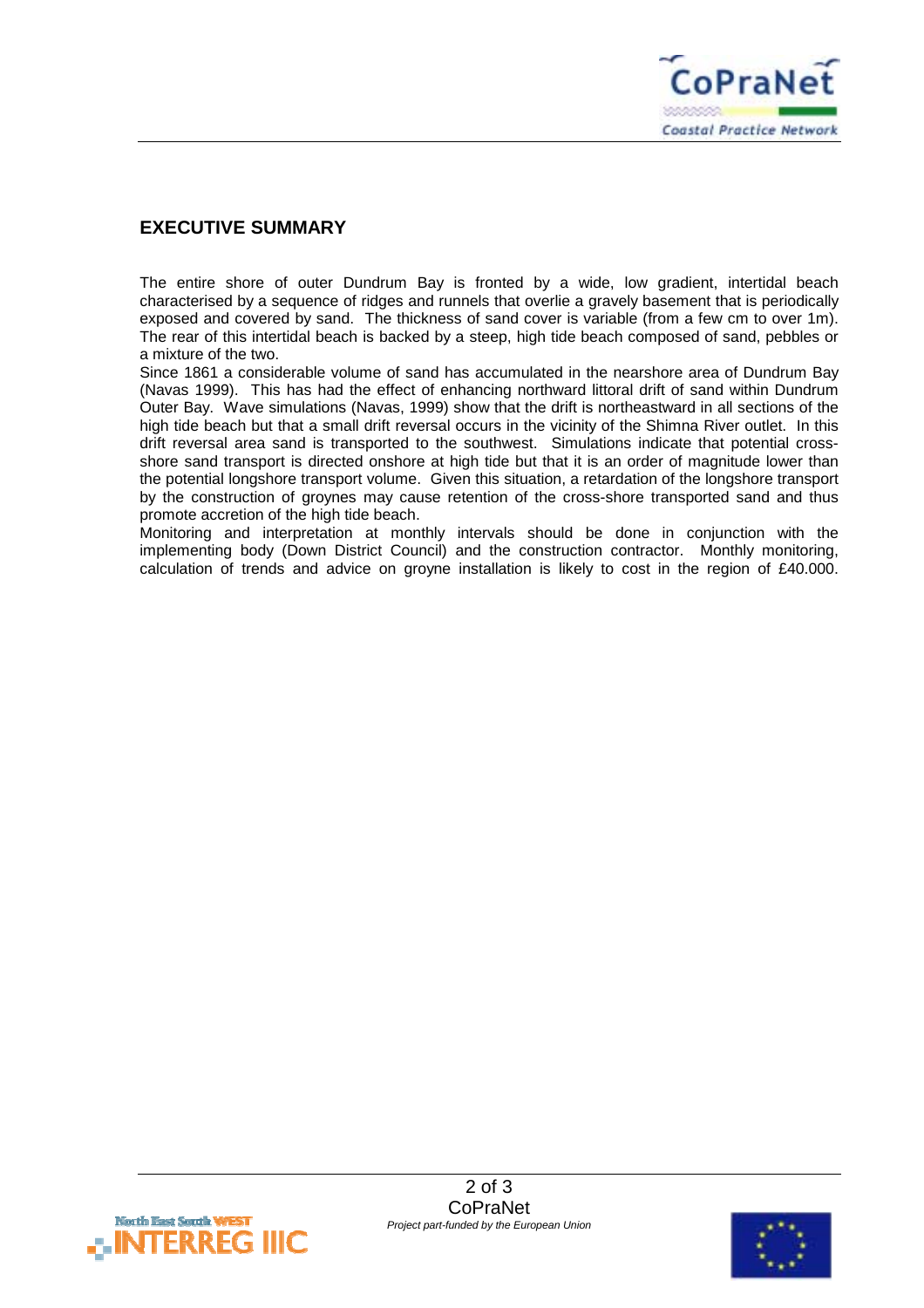

### **EXECUTIVE SUMMARY**

The entire shore of outer Dundrum Bay is fronted by a wide, low gradient, intertidal beach characterised by a sequence of ridges and runnels that overlie a gravely basement that is periodically exposed and covered by sand. The thickness of sand cover is variable (from a few cm to over 1m). The rear of this intertidal beach is backed by a steep, high tide beach composed of sand, pebbles or a mixture of the two.

Since 1861 a considerable volume of sand has accumulated in the nearshore area of Dundrum Bay (Navas 1999). This has had the effect of enhancing northward littoral drift of sand within Dundrum Outer Bay. Wave simulations (Navas, 1999) show that the drift is northeastward in all sections of the high tide beach but that a small drift reversal occurs in the vicinity of the Shimna River outlet. In this drift reversal area sand is transported to the southwest. Simulations indicate that potential crossshore sand transport is directed onshore at high tide but that it is an order of magnitude lower than the potential longshore transport volume. Given this situation, a retardation of the longshore transport by the construction of groynes may cause retention of the cross-shore transported sand and thus promote accretion of the high tide beach.

Monitoring and interpretation at monthly intervals should be done in conjunction with the implementing body (Down District Council) and the construction contractor. Monthly monitoring, calculation of trends and advice on groyne installation is likely to cost in the region of £40.000.



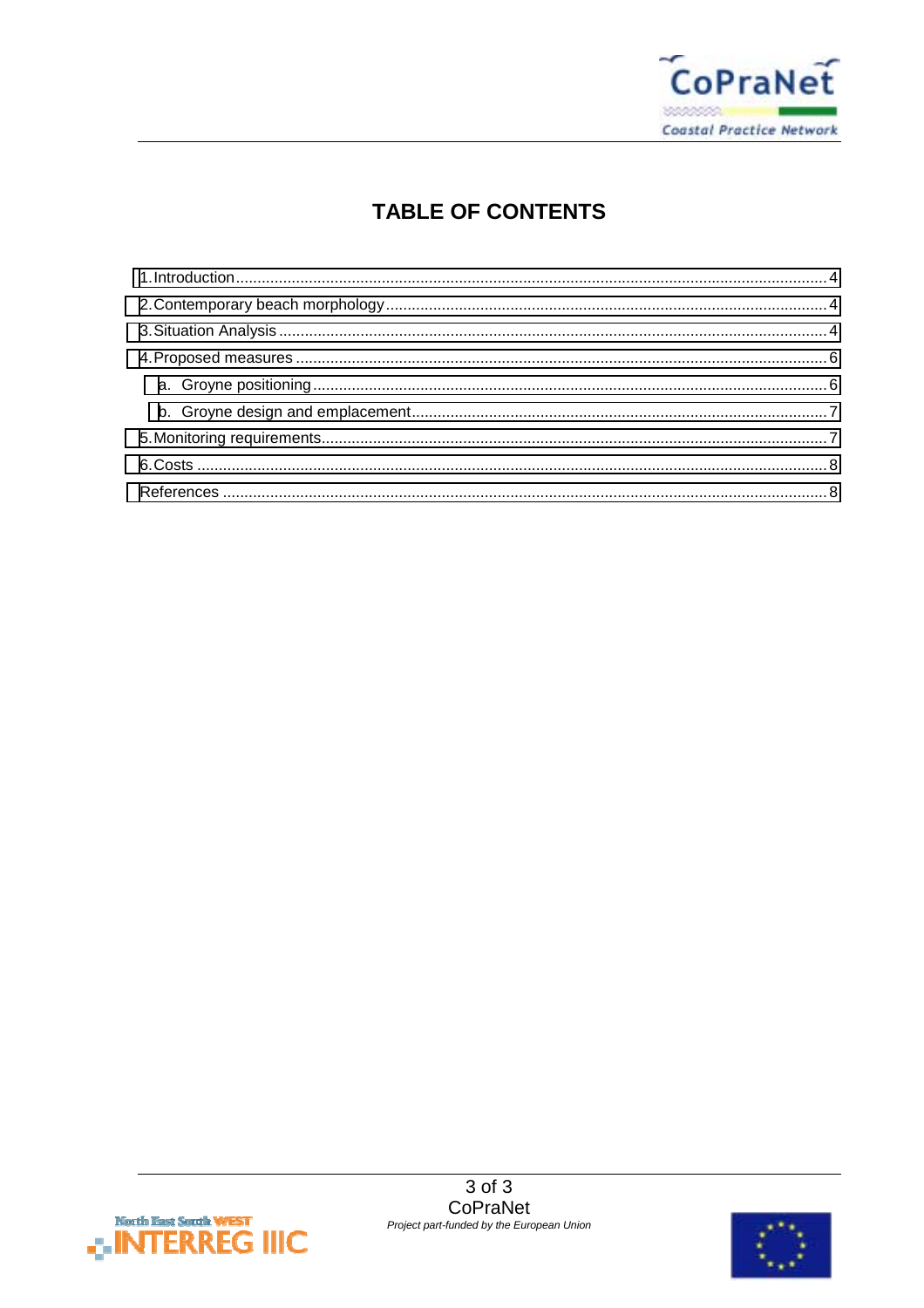

# **TABLE OF CONTENTS**



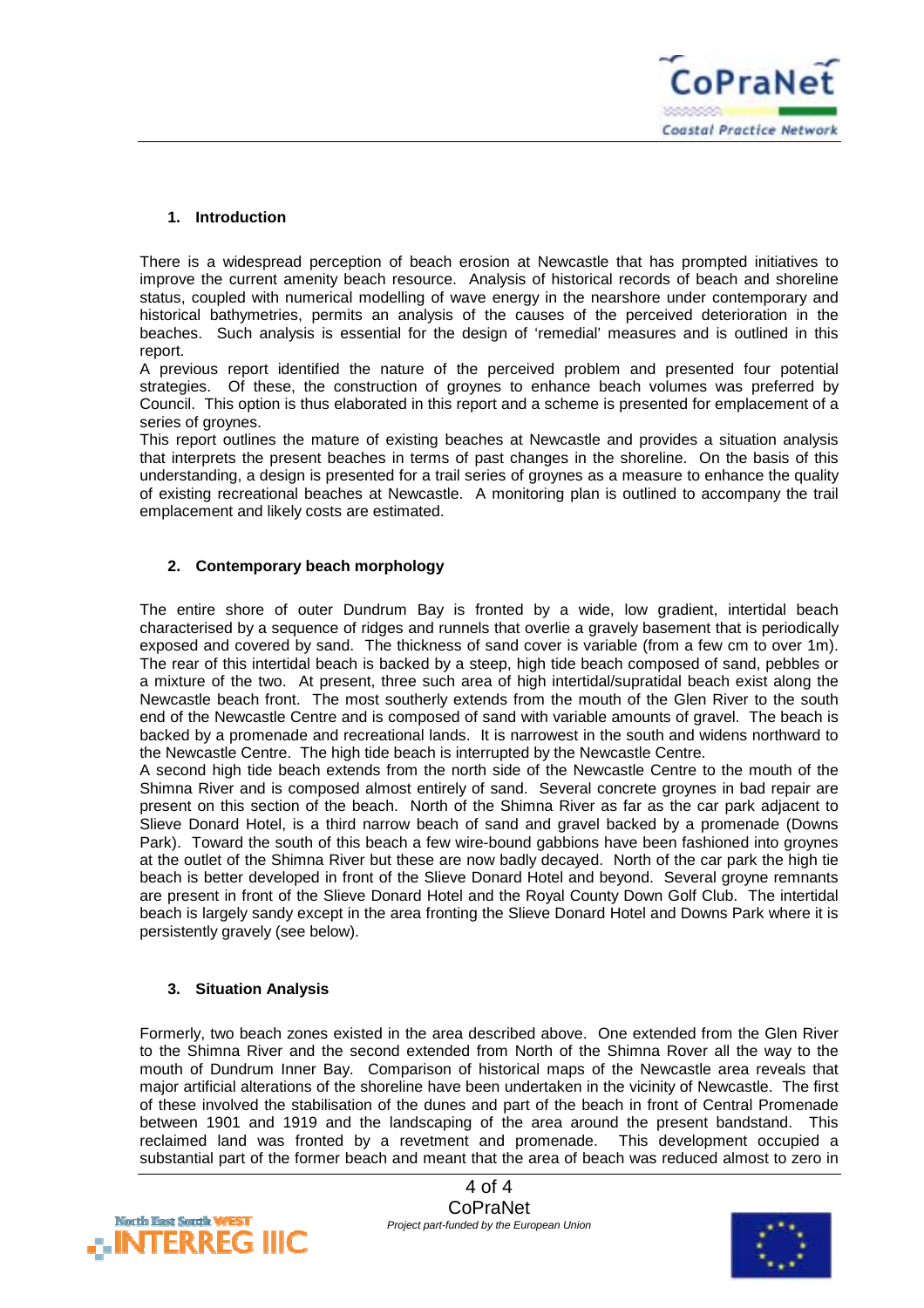

#### <span id="page-3-0"></span>**1. Introduction**

There is a widespread perception of beach erosion at Newcastle that has prompted initiatives to improve the current amenity beach resource. Analysis of historical records of beach and shoreline status, coupled with numerical modelling of wave energy in the nearshore under contemporary and historical bathymetries, permits an analysis of the causes of the perceived deterioration in the beaches. Such analysis is essential for the design of 'remedial' measures and is outlined in this report.

A previous report identified the nature of the perceived problem and presented four potential strategies. Of these, the construction of groynes to enhance beach volumes was preferred by Council. This option is thus elaborated in this report and a scheme is presented for emplacement of a series of groynes.

This report outlines the mature of existing beaches at Newcastle and provides a situation analysis that interprets the present beaches in terms of past changes in the shoreline. On the basis of this understanding, a design is presented for a trail series of groynes as a measure to enhance the quality of existing recreational beaches at Newcastle. A monitoring plan is outlined to accompany the trail emplacement and likely costs are estimated.

#### **2. Contemporary beach morphology**

The entire shore of outer Dundrum Bay is fronted by a wide, low gradient, intertidal beach characterised by a sequence of ridges and runnels that overlie a gravely basement that is periodically exposed and covered by sand. The thickness of sand cover is variable (from a few cm to over 1m). The rear of this intertidal beach is backed by a steep, high tide beach composed of sand, pebbles or a mixture of the two. At present, three such area of high intertidal/supratidal beach exist along the Newcastle beach front. The most southerly extends from the mouth of the Glen River to the south end of the Newcastle Centre and is composed of sand with variable amounts of gravel. The beach is backed by a promenade and recreational lands. It is narrowest in the south and widens northward to the Newcastle Centre. The high tide beach is interrupted by the Newcastle Centre.

A second high tide beach extends from the north side of the Newcastle Centre to the mouth of the Shimna River and is composed almost entirely of sand. Several concrete groynes in bad repair are present on this section of the beach. North of the Shimna River as far as the car park adjacent to Slieve Donard Hotel, is a third narrow beach of sand and gravel backed by a promenade (Downs Park). Toward the south of this beach a few wire-bound gabbions have been fashioned into groynes at the outlet of the Shimna River but these are now badly decayed. North of the car park the high tie beach is better developed in front of the Slieve Donard Hotel and beyond. Several groyne remnants are present in front of the Slieve Donard Hotel and the Royal County Down Golf Club. The intertidal beach is largely sandy except in the area fronting the Slieve Donard Hotel and Downs Park where it is persistently gravely (see below).

#### **3. Situation Analysis**

Formerly, two beach zones existed in the area described above. One extended from the Glen River to the Shimna River and the second extended from North of the Shimna Rover all the way to the mouth of Dundrum Inner Bay. Comparison of historical maps of the Newcastle area reveals that major artificial alterations of the shoreline have been undertaken in the vicinity of Newcastle. The first of these involved the stabilisation of the dunes and part of the beach in front of Central Promenade between 1901 and 1919 and the landscaping of the area around the present bandstand. This reclaimed land was fronted by a revetment and promenade. This development occupied a substantial part of the former beach and meant that the area of beach was reduced almost to zero in



4 of 4 **CoPraNet** *Project part-funded by the European Union*

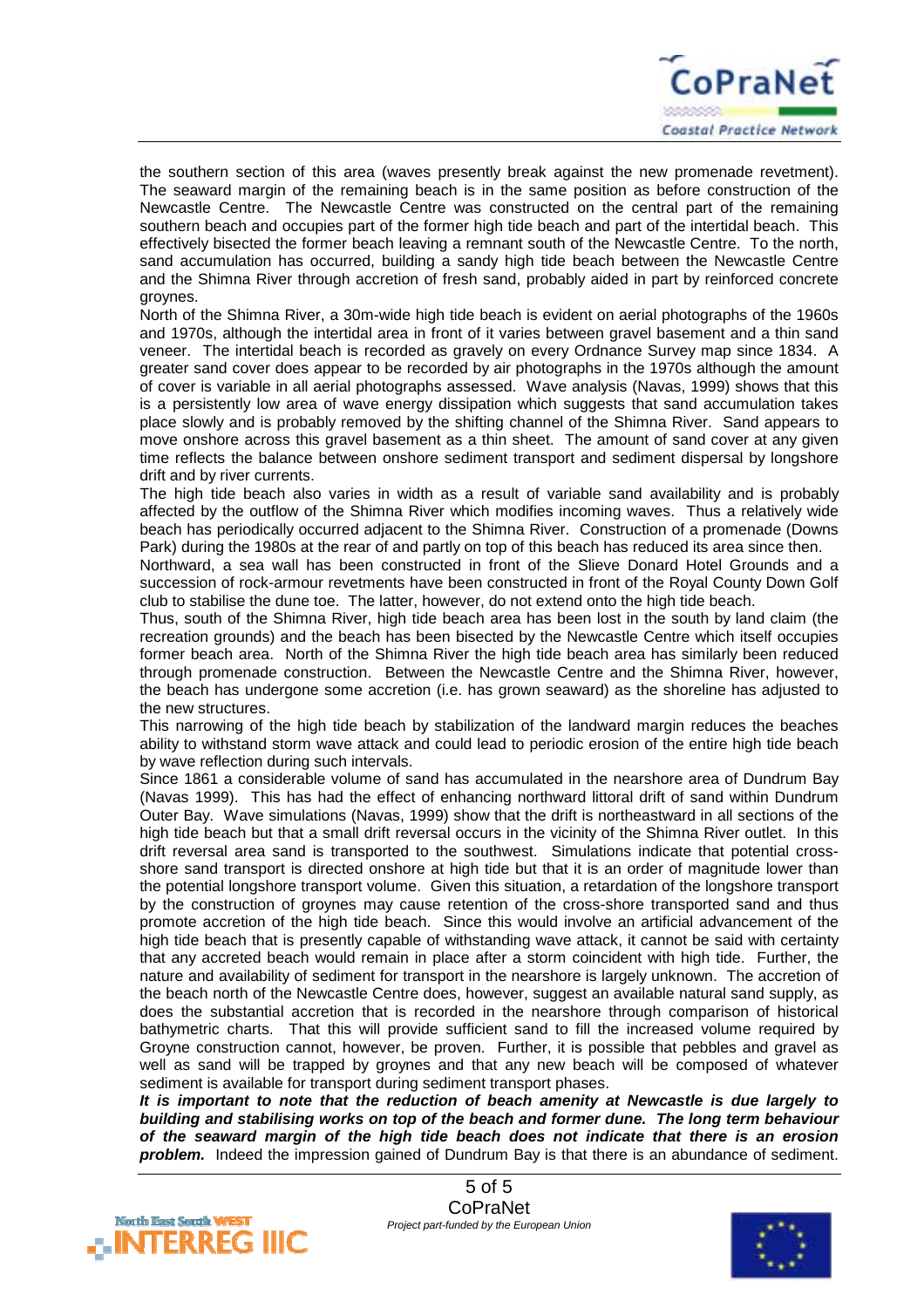

the southern section of this area (waves presently break against the new promenade revetment). The seaward margin of the remaining beach is in the same position as before construction of the Newcastle Centre. The Newcastle Centre was constructed on the central part of the remaining southern beach and occupies part of the former high tide beach and part of the intertidal beach. This effectively bisected the former beach leaving a remnant south of the Newcastle Centre. To the north, sand accumulation has occurred, building a sandy high tide beach between the Newcastle Centre and the Shimna River through accretion of fresh sand, probably aided in part by reinforced concrete groynes.

North of the Shimna River, a 30m-wide high tide beach is evident on aerial photographs of the 1960s and 1970s, although the intertidal area in front of it varies between gravel basement and a thin sand veneer. The intertidal beach is recorded as gravely on every Ordnance Survey map since 1834. A greater sand cover does appear to be recorded by air photographs in the 1970s although the amount of cover is variable in all aerial photographs assessed. Wave analysis (Navas, 1999) shows that this is a persistently low area of wave energy dissipation which suggests that sand accumulation takes place slowly and is probably removed by the shifting channel of the Shimna River. Sand appears to move onshore across this gravel basement as a thin sheet. The amount of sand cover at any given time reflects the balance between onshore sediment transport and sediment dispersal by longshore drift and by river currents.

The high tide beach also varies in width as a result of variable sand availability and is probably affected by the outflow of the Shimna River which modifies incoming waves. Thus a relatively wide beach has periodically occurred adjacent to the Shimna River. Construction of a promenade (Downs Park) during the 1980s at the rear of and partly on top of this beach has reduced its area since then.

Northward, a sea wall has been constructed in front of the Slieve Donard Hotel Grounds and a succession of rock-armour revetments have been constructed in front of the Royal County Down Golf club to stabilise the dune toe. The latter, however, do not extend onto the high tide beach.

Thus, south of the Shimna River, high tide beach area has been lost in the south by land claim (the recreation grounds) and the beach has been bisected by the Newcastle Centre which itself occupies former beach area. North of the Shimna River the high tide beach area has similarly been reduced through promenade construction. Between the Newcastle Centre and the Shimna River, however, the beach has undergone some accretion (i.e. has grown seaward) as the shoreline has adjusted to the new structures.

This narrowing of the high tide beach by stabilization of the landward margin reduces the beaches ability to withstand storm wave attack and could lead to periodic erosion of the entire high tide beach by wave reflection during such intervals.

Since 1861 a considerable volume of sand has accumulated in the nearshore area of Dundrum Bay (Navas 1999). This has had the effect of enhancing northward littoral drift of sand within Dundrum Outer Bay. Wave simulations (Navas, 1999) show that the drift is northeastward in all sections of the high tide beach but that a small drift reversal occurs in the vicinity of the Shimna River outlet. In this drift reversal area sand is transported to the southwest. Simulations indicate that potential crossshore sand transport is directed onshore at high tide but that it is an order of magnitude lower than the potential longshore transport volume. Given this situation, a retardation of the longshore transport by the construction of groynes may cause retention of the cross-shore transported sand and thus promote accretion of the high tide beach. Since this would involve an artificial advancement of the high tide beach that is presently capable of withstanding wave attack, it cannot be said with certainty that any accreted beach would remain in place after a storm coincident with high tide. Further, the nature and availability of sediment for transport in the nearshore is largely unknown. The accretion of the beach north of the Newcastle Centre does, however, suggest an available natural sand supply, as does the substantial accretion that is recorded in the nearshore through comparison of historical bathymetric charts. That this will provide sufficient sand to fill the increased volume required by Groyne construction cannot, however, be proven. Further, it is possible that pebbles and gravel as well as sand will be trapped by groynes and that any new beach will be composed of whatever sediment is available for transport during sediment transport phases.

*It is important to note that the reduction of beach amenity at Newcastle is due largely to building and stabilising works on top of the beach and former dune. The long term behaviour of the seaward margin of the high tide beach does not indicate that there is an erosion problem.* Indeed the impression gained of Dundrum Bay is that there is an abundance of sediment.



5 of 5 CoPraNet *Project part-funded by the European Union*

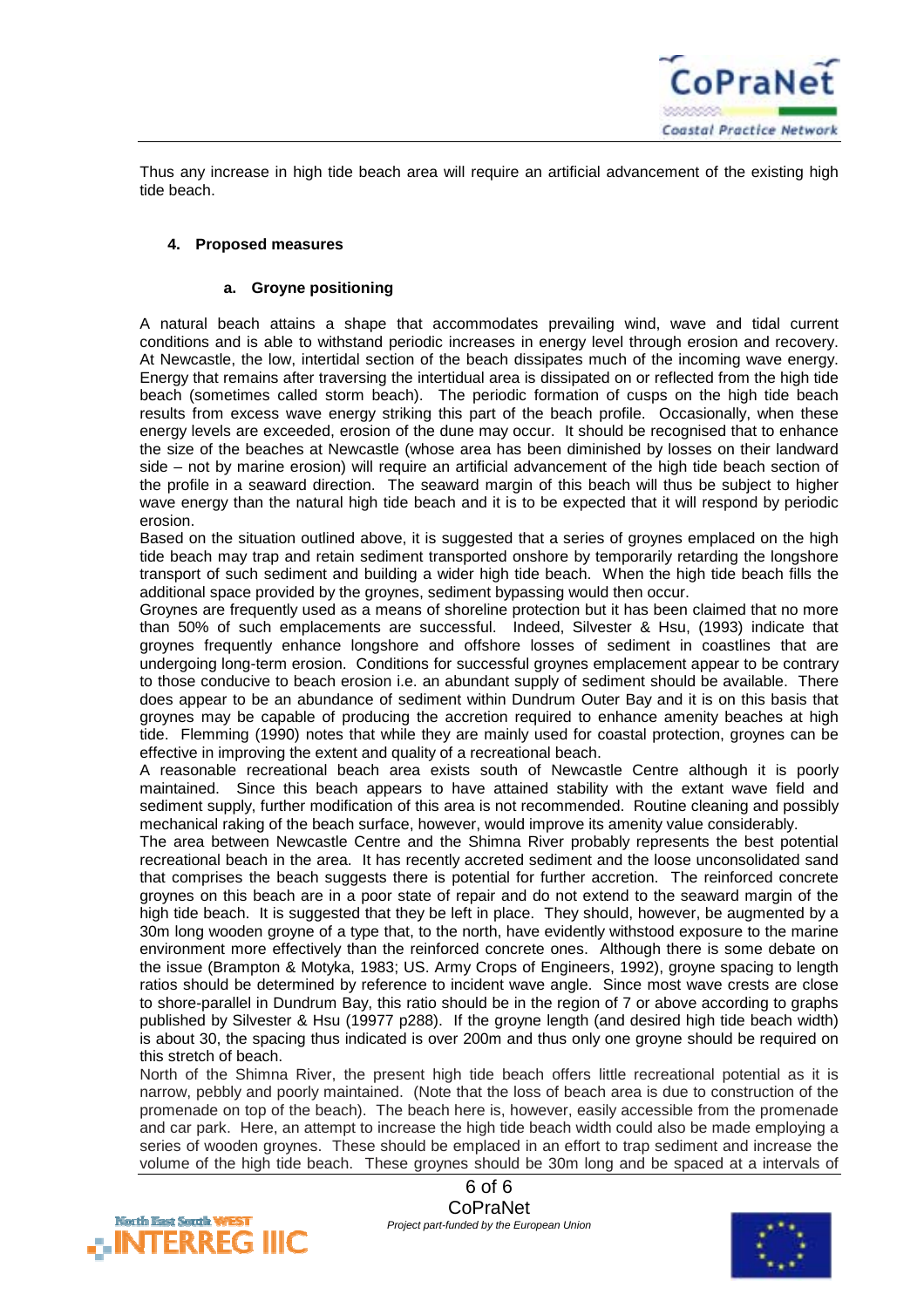

<span id="page-5-0"></span>Thus any increase in high tide beach area will require an artificial advancement of the existing high tide beach.

#### **4. Proposed measures**

#### **a. Groyne positioning**

A natural beach attains a shape that accommodates prevailing wind, wave and tidal current conditions and is able to withstand periodic increases in energy level through erosion and recovery. At Newcastle, the low, intertidal section of the beach dissipates much of the incoming wave energy. Energy that remains after traversing the intertidual area is dissipated on or reflected from the high tide beach (sometimes called storm beach). The periodic formation of cusps on the high tide beach results from excess wave energy striking this part of the beach profile. Occasionally, when these energy levels are exceeded, erosion of the dune may occur. It should be recognised that to enhance the size of the beaches at Newcastle (whose area has been diminished by losses on their landward side – not by marine erosion) will require an artificial advancement of the high tide beach section of the profile in a seaward direction. The seaward margin of this beach will thus be subject to higher wave energy than the natural high tide beach and it is to be expected that it will respond by periodic erosion.

Based on the situation outlined above, it is suggested that a series of groynes emplaced on the high tide beach may trap and retain sediment transported onshore by temporarily retarding the longshore transport of such sediment and building a wider high tide beach. When the high tide beach fills the additional space provided by the groynes, sediment bypassing would then occur.

Groynes are frequently used as a means of shoreline protection but it has been claimed that no more than 50% of such emplacements are successful. Indeed, Silvester & Hsu, (1993) indicate that groynes frequently enhance longshore and offshore losses of sediment in coastlines that are undergoing long-term erosion. Conditions for successful groynes emplacement appear to be contrary to those conducive to beach erosion i.e. an abundant supply of sediment should be available. There does appear to be an abundance of sediment within Dundrum Outer Bay and it is on this basis that groynes may be capable of producing the accretion required to enhance amenity beaches at high tide. Flemming (1990) notes that while they are mainly used for coastal protection, groynes can be effective in improving the extent and quality of a recreational beach.

A reasonable recreational beach area exists south of Newcastle Centre although it is poorly maintained. Since this beach appears to have attained stability with the extant wave field and sediment supply, further modification of this area is not recommended. Routine cleaning and possibly mechanical raking of the beach surface, however, would improve its amenity value considerably.

The area between Newcastle Centre and the Shimna River probably represents the best potential recreational beach in the area. It has recently accreted sediment and the loose unconsolidated sand that comprises the beach suggests there is potential for further accretion. The reinforced concrete groynes on this beach are in a poor state of repair and do not extend to the seaward margin of the high tide beach. It is suggested that they be left in place. They should, however, be augmented by a 30m long wooden groyne of a type that, to the north, have evidently withstood exposure to the marine environment more effectively than the reinforced concrete ones. Although there is some debate on the issue (Brampton & Motyka, 1983; US. Army Crops of Engineers, 1992), groyne spacing to length ratios should be determined by reference to incident wave angle. Since most wave crests are close to shore-parallel in Dundrum Bay, this ratio should be in the region of 7 or above according to graphs published by Silvester & Hsu (19977 p288). If the groyne length (and desired high tide beach width) is about 30, the spacing thus indicated is over 200m and thus only one groyne should be required on this stretch of beach.

North of the Shimna River, the present high tide beach offers little recreational potential as it is narrow, pebbly and poorly maintained. (Note that the loss of beach area is due to construction of the promenade on top of the beach). The beach here is, however, easily accessible from the promenade and car park. Here, an attempt to increase the high tide beach width could also be made employing a series of wooden groynes. These should be emplaced in an effort to trap sediment and increase the volume of the high tide beach. These groynes should be 30m long and be spaced at a intervals of

> 6 of 6 CoPraNet *Project part-funded by the European Union*



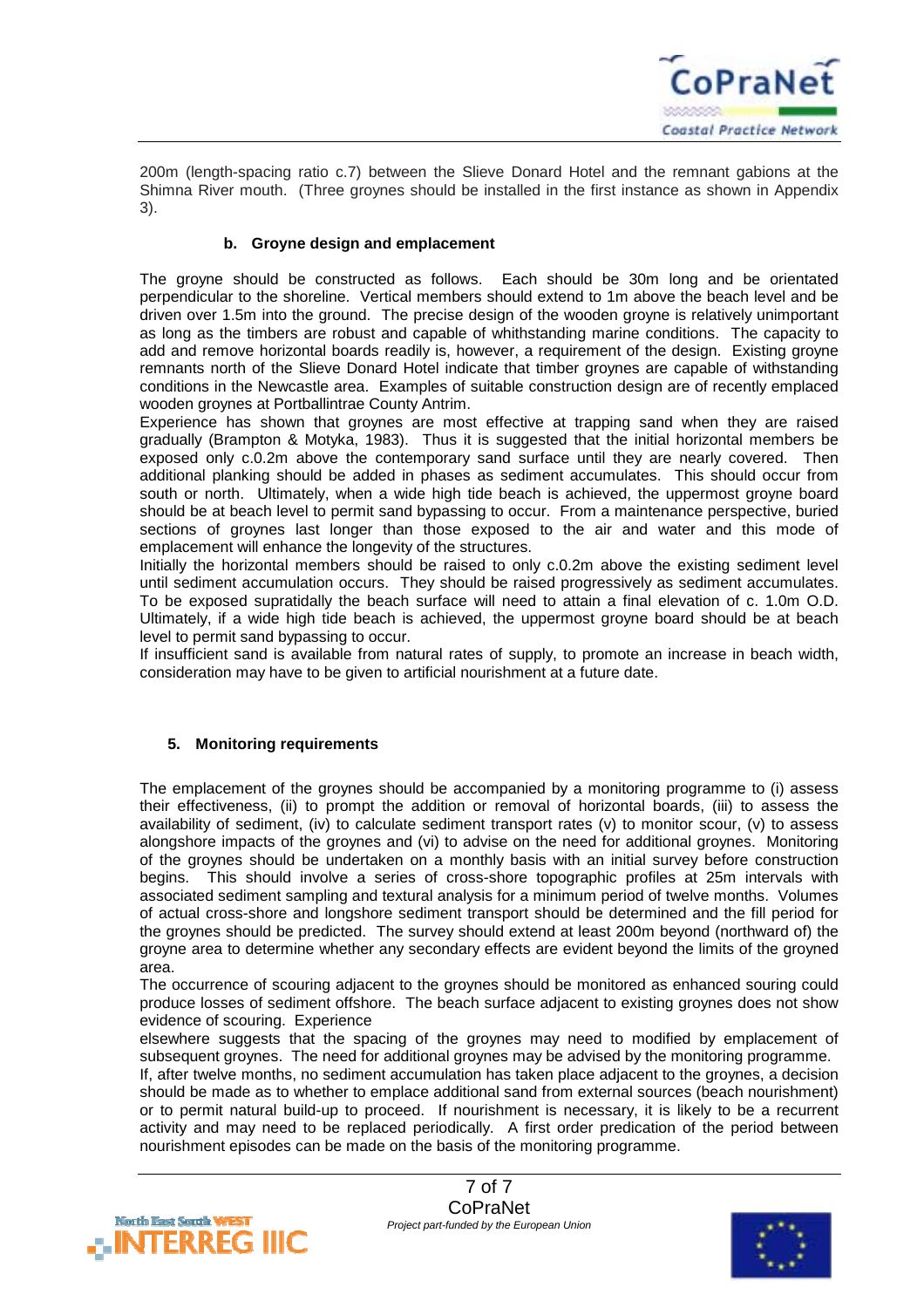

<span id="page-6-0"></span>200m (length-spacing ratio c.7) between the Slieve Donard Hotel and the remnant gabions at the Shimna River mouth. (Three groynes should be installed in the first instance as shown in Appendix 3).

#### **b. Groyne design and emplacement**

The groyne should be constructed as follows. Each should be 30m long and be orientated perpendicular to the shoreline. Vertical members should extend to 1m above the beach level and be driven over 1.5m into the ground. The precise design of the wooden groyne is relatively unimportant as long as the timbers are robust and capable of whithstanding marine conditions. The capacity to add and remove horizontal boards readily is, however, a requirement of the design. Existing groyne remnants north of the Slieve Donard Hotel indicate that timber groynes are capable of withstanding conditions in the Newcastle area. Examples of suitable construction design are of recently emplaced wooden groynes at Portballintrae County Antrim.

Experience has shown that groynes are most effective at trapping sand when they are raised gradually (Brampton & Motyka, 1983). Thus it is suggested that the initial horizontal members be exposed only c.0.2m above the contemporary sand surface until they are nearly covered. Then additional planking should be added in phases as sediment accumulates. This should occur from south or north. Ultimately, when a wide high tide beach is achieved, the uppermost groyne board should be at beach level to permit sand bypassing to occur. From a maintenance perspective, buried sections of groynes last longer than those exposed to the air and water and this mode of emplacement will enhance the longevity of the structures.

Initially the horizontal members should be raised to only c.0.2m above the existing sediment level until sediment accumulation occurs. They should be raised progressively as sediment accumulates. To be exposed supratidally the beach surface will need to attain a final elevation of c. 1.0m O.D. Ultimately, if a wide high tide beach is achieved, the uppermost groyne board should be at beach level to permit sand bypassing to occur.

If insufficient sand is available from natural rates of supply, to promote an increase in beach width, consideration may have to be given to artificial nourishment at a future date.

#### **5. Monitoring requirements**

The emplacement of the groynes should be accompanied by a monitoring programme to (i) assess their effectiveness, (ii) to prompt the addition or removal of horizontal boards, (iii) to assess the availability of sediment, (iv) to calculate sediment transport rates (v) to monitor scour, (v) to assess alongshore impacts of the groynes and (vi) to advise on the need for additional groynes. Monitoring of the groynes should be undertaken on a monthly basis with an initial survey before construction begins. This should involve a series of cross-shore topographic profiles at 25m intervals with associated sediment sampling and textural analysis for a minimum period of twelve months. Volumes of actual cross-shore and longshore sediment transport should be determined and the fill period for the groynes should be predicted. The survey should extend at least 200m beyond (northward of) the groyne area to determine whether any secondary effects are evident beyond the limits of the groyned area.

The occurrence of scouring adjacent to the groynes should be monitored as enhanced souring could produce losses of sediment offshore. The beach surface adjacent to existing groynes does not show evidence of scouring. Experience

elsewhere suggests that the spacing of the groynes may need to modified by emplacement of subsequent groynes. The need for additional groynes may be advised by the monitoring programme. If, after twelve months, no sediment accumulation has taken place adjacent to the groynes, a decision should be made as to whether to emplace additional sand from external sources (beach nourishment) or to permit natural build-up to proceed. If nourishment is necessary, it is likely to be a recurrent activity and may need to be replaced periodically. A first order predication of the period between nourishment episodes can be made on the basis of the monitoring programme.